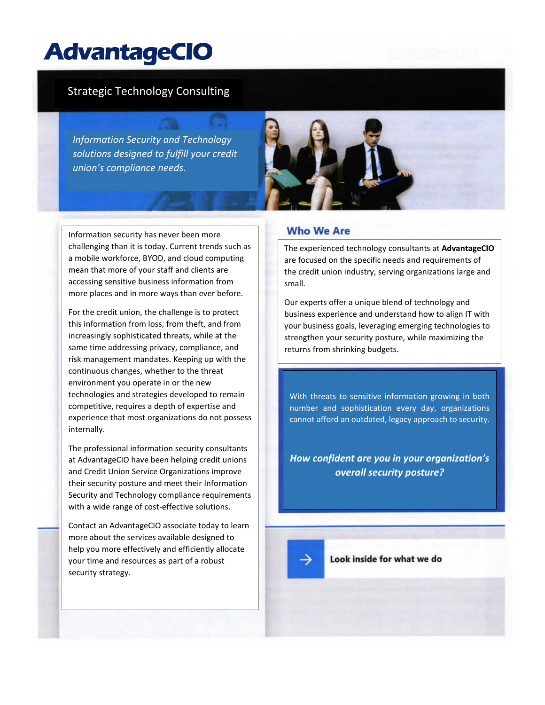# Strategic Technology Consulting

*Information Security and Technology solutions designed to fulfill your credit union's compliance needs.* 

Information security has never been more challenging than it is today. Current trends such as a mobile workforce, BYOD, and cloud computing mean that more of your staff and clients are accessing sensitive business information from more places and in more ways than ever before.

For the credit union, the challenge is to protect this information from loss, from theft, and from increasingly sophisticated threats, while at the same time addressing privacy, compliance, and risk management mandates. Keeping up with the continuous changes, whether to the threat environment you operate in or the new technologies and strategies developed to remain competitive, requires a depth of expertise and experience that most organizations do not possess internally.

The professional information security consultants at AdvantageCIO have been helping credit unions and Credit Union Service Organizations improve their security posture and meet their Information Security and Technology compliance requirements with a wide range of cost-effective solutions.

Contact an AdvantageCIO associate today to learn more about the services available designed to help you more effectively and efficiently allocate your time and resources as part of a robust security strategy.



### **Who We Are**

The experienced technology consultants at **AdvantageCIO** are focused on the specific needs and requirements of the credit union industry, serving organizations large and small.

Our experts offer a unique blend of technology and business experience and understand how to align IT with your business goals, leveraging emerging technologies to strengthen your security posture, while maximizing the returns from shrinking budgets.

With threats to sensitive information growing in both number and sophistication every day, organizations cannot afford an outdated, legacy approach to security.

*How confident are you in your organization's overall security posture?*

Look inside for what we do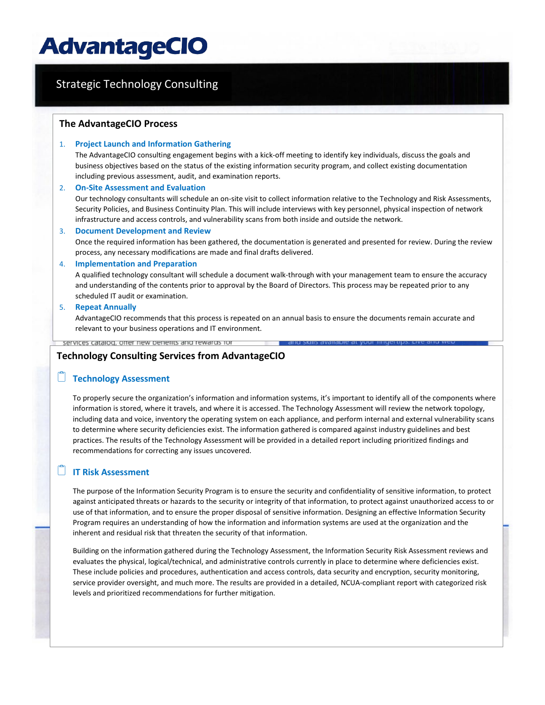# Strategic Technology Consulting**The AdvantageCIO Process** 1. **Project Launch and Information Gathering** The AdvantageCIO consulting engagement begins with a kick-off meeting to identify key individuals, discuss the goals and business objectives based on the status of the existing information security program, and collect existing documentation including previous assessment, audit, and examination reports. 2. **On-Site Assessment and Evaluation** Our technology consultants will schedule an on-site visit to collect information relative to the Technology and Risk Assessments, Security Policies, and Business Continuity Plan. This will include interviews with key personnel, physical inspection of network infrastructure and access controls, and vulnerability scans from both inside and outside the network. 3. **Document Development and Review** Once the required information has been gathered, the documentation is generated and presented for review. During the review process, any necessary modifications are made and final drafts delivered. 4. **Implementation and Preparation** A qualified technology consultant will schedule a document walk-through with your management team to ensure the accuracy and understanding of the contents prior to approval by the Board of Directors. This process may be repeated prior to any scheduled IT audit or examination. 5. **Repeat Annually** AdvantageCIO recommends that this process is repeated on an annual basis to ensure the documents remain accurate and relevant to your business operations and IT environment. services catalog, offer new benefits and rewards for **Technology Consulting Services from AdvantageCIO**

### **Technology Assessment**

To properly secure the organization's information and information systems, it's important to identify all of the components where information is stored, where it travels, and where it is accessed. The Technology Assessment will review the network topology, including data and voice, inventory the operating system on each appliance, and perform internal and external vulnerability scans to determine where security deficiencies exist. The information gathered is compared against industry guidelines and best practices. The results of the Technology Assessment will be provided in a detailed report including prioritized findings and recommendations for correcting any issues uncovered.

## **IT Risk Assessment**

The purpose of the Information Security Program is to ensure the security and confidentiality of sensitive information, to protect against anticipated threats or hazards to the security or integrity of that information, to protect against unauthorized access to or use of that information, and to ensure the proper disposal of sensitive information. Designing an effective Information Security Program requires an understanding of how the information and information systems are used at the organization and the inherent and residual risk that threaten the security of that information.

Building on the information gathered during the Technology Assessment, the Information Security Risk Assessment reviews and evaluates the physical, logical/technical, and administrative controls currently in place to determine where deficiencies exist. These include policies and procedures, authentication and access controls, data security and encryption, security monitoring, service provider oversight, and much more. The results are provided in a detailed, NCUA-compliant report with categorized risk levels and prioritized recommendations for further mitigation.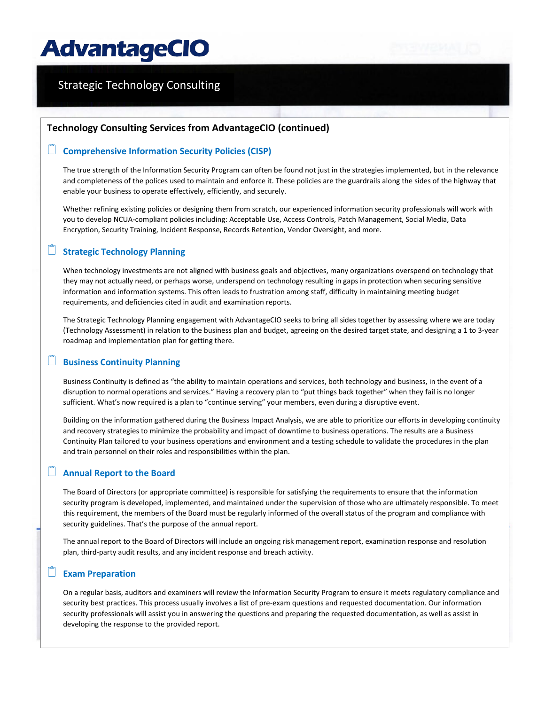# Strategic Technology Consulting

#### **Technology Consulting Services from AdvantageCIO (continued)**

#### **Comprehensive Information Security Policies (CISP)**

The true strength of the Information Security Program can often be found not just in the strategies implemented, but in the relevance and completeness of the polices used to maintain and enforce it. These policies are the guardrails along the sides of the highway that enable your business to operate effectively, efficiently, and securely.

Whether refining existing policies or designing them from scratch, our experienced information security professionals will work with you to develop NCUA-compliant policies including: Acceptable Use, Access Controls, Patch Management, Social Media, Data Encryption, Security Training, Incident Response, Records Retention, Vendor Oversight, and more.

#### **Strategic Technology Planning**

When technology investments are not aligned with business goals and objectives, many organizations overspend on technology that they may not actually need, or perhaps worse, underspend on technology resulting in gaps in protection when securing sensitive information and information systems. This often leads to frustration among staff, difficulty in maintaining meeting budget requirements, and deficiencies cited in audit and examination reports.

The Strategic Technology Planning engagement with AdvantageCIO seeks to bring all sides together by assessing where we are today (Technology Assessment) in relation to the business plan and budget, agreeing on the desired target state, and designing a 1 to 3-year roadmap and implementation plan for getting there.

### **Business Continuity Planning**

Business Continuity is defined as "the ability to maintain operations and services, both technology and business, in the event of a disruption to normal operations and services." Having a recovery plan to "put things back together" when they fail is no longer sufficient. What's now required is a plan to "continue serving" your members, even during a disruptive event.

Building on the information gathered during the Business Impact Analysis, we are able to prioritize our efforts in developing continuity and recovery strategies to minimize the probability and impact of downtime to business operations. The results are a Business Continuity Plan tailored to your business operations and environment and a testing schedule to validate the procedures in the plan and train personnel on their roles and responsibilities within the plan.

#### **Annual Report to the Board**

The Board of Directors (or appropriate committee) is responsible for satisfying the requirements to ensure that the information security program is developed, implemented, and maintained under the supervision of those who are ultimately responsible. To meet this requirement, the members of the Board must be regularly informed of the overall status of the program and compliance with security guidelines. That's the purpose of the annual report.

The annual report to the Board of Directors will include an ongoing risk management report, examination response and resolution plan, third-party audit results, and any incident response and breach activity.

#### **Exam Preparation**

On a regular basis, auditors and examiners will review the Information Security Program to ensure it meets regulatory compliance and security best practices. This process usually involves a list of pre-exam questions and requested documentation. Our information security professionals will assist you in answering the questions and preparing the requested documentation, as well as assist in developing the response to the provided report.